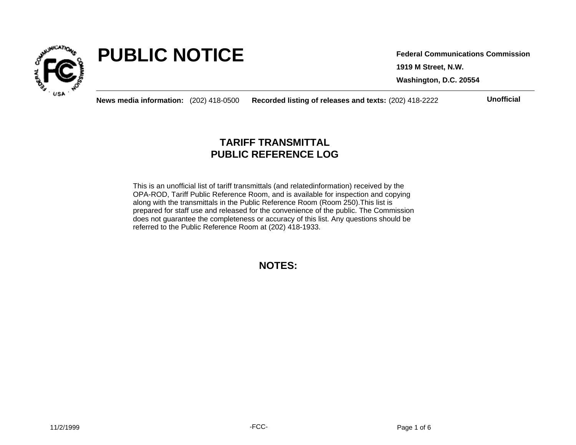

# **PUBLIC NOTICE**

**1919 M Street, N.W. Washington, D.C. 20554 Federal Communications Commission**

**News media information:** (202) 418-0500 **Recorded listing of releases and texts:** (202) 418-2222 **Unofficial**

## **TARIFF TRANSMITTAL PUBLIC REFERENCE LOG**

This is an unofficial list of tariff transmittals (and relatedinformation) received by the OPA-ROD, Tariff Public Reference Room, and is available for inspection and copying along with the transmittals in the Public Reference Room (Room 250).This list is prepared for staff use and released for the convenience of the public. The Commission does not guarantee the completeness or accuracy of this list. Any questions should be referred to the Public Reference Room at (202) 418-1933.

**NOTES:**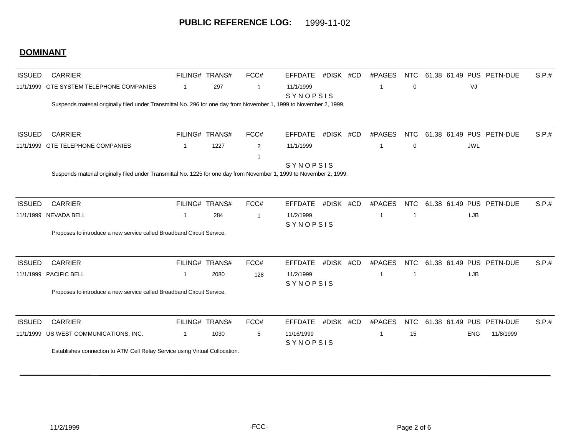## **DOMINANT**

| <b>ISSUED</b> | <b>CARRIER</b>                                                                                                       |              | FILING# TRANS# | FCC#           | <b>EFFDATE</b>        | #DISK #CD | #PAGES         | <b>NTC</b>  |            | 61.38 61.49 PUS PETN-DUE | S.P.# |
|---------------|----------------------------------------------------------------------------------------------------------------------|--------------|----------------|----------------|-----------------------|-----------|----------------|-------------|------------|--------------------------|-------|
| 11/1/1999     | GTE SYSTEM TELEPHONE COMPANIES                                                                                       | $\mathbf{1}$ | 297            | $\overline{1}$ | 11/1/1999<br>SYNOPSIS |           | $\overline{1}$ | $\mathbf 0$ | VJ         |                          |       |
|               | Suspends material originally filed under Transmittal No. 296 for one day from November 1, 1999 to November 2, 1999.  |              |                |                |                       |           |                |             |            |                          |       |
| <b>ISSUED</b> | <b>CARRIER</b>                                                                                                       |              | FILING# TRANS# | FCC#           | <b>EFFDATE</b>        | #DISK #CD | #PAGES         | <b>NTC</b>  |            | 61.38 61.49 PUS PETN-DUE | S.P.# |
|               | 11/1/1999 GTE TELEPHONE COMPANIES                                                                                    | $\mathbf{1}$ | 1227           | 2              | 11/1/1999             |           | -1             | $\mathbf 0$ | <b>JWL</b> |                          |       |
|               |                                                                                                                      |              |                |                |                       |           |                |             |            |                          |       |
|               | Suspends material originally filed under Transmittal No. 1225 for one day from November 1, 1999 to November 2, 1999. |              |                |                | SYNOPSIS              |           |                |             |            |                          |       |
|               |                                                                                                                      |              |                |                |                       |           |                |             |            |                          |       |
| <b>ISSUED</b> | <b>CARRIER</b>                                                                                                       |              | FILING# TRANS# | FCC#           | <b>EFFDATE</b>        | #DISK #CD | #PAGES         | <b>NTC</b>  |            | 61.38 61.49 PUS PETN-DUE | S.P.# |
| 11/1/1999     | <b>NEVADA BELL</b>                                                                                                   | $\mathbf{1}$ | 284            | $\overline{1}$ | 11/2/1999             |           | -1             | -1          | <b>LJB</b> |                          |       |
|               |                                                                                                                      |              |                |                | SYNOPSIS              |           |                |             |            |                          |       |
|               | Proposes to introduce a new service called Broadband Circuit Service.                                                |              |                |                |                       |           |                |             |            |                          |       |
| <b>ISSUED</b> | <b>CARRIER</b>                                                                                                       |              | FILING# TRANS# | FCC#           | <b>EFFDATE</b>        | #DISK #CD | #PAGES         | <b>NTC</b>  |            | 61.38 61.49 PUS PETN-DUE | S.P.# |
| 11/1/1999     | PACIFIC BELL                                                                                                         | $\mathbf 1$  | 2080           | 128            | 11/2/1999             |           | -1             | -1          | LJB        |                          |       |
|               |                                                                                                                      |              |                |                | SYNOPSIS              |           |                |             |            |                          |       |
|               | Proposes to introduce a new service called Broadband Circuit Service.                                                |              |                |                |                       |           |                |             |            |                          |       |
| <b>ISSUED</b> | <b>CARRIER</b>                                                                                                       |              | FILING# TRANS# | FCC#           | <b>EFFDATE</b>        | #DISK #CD | #PAGES         | <b>NTC</b>  |            | 61.38 61.49 PUS PETN-DUE | S.P.# |
|               | 11/1/1999 US WEST COMMUNICATIONS, INC.                                                                               | $\mathbf{1}$ | 1030           | 5              | 11/16/1999            |           | -1             | 15          | <b>ENG</b> | 11/8/1999                |       |
|               |                                                                                                                      |              |                |                | SYNOPSIS              |           |                |             |            |                          |       |
|               | Establishes connection to ATM Cell Relay Service using Virtual Collocation.                                          |              |                |                |                       |           |                |             |            |                          |       |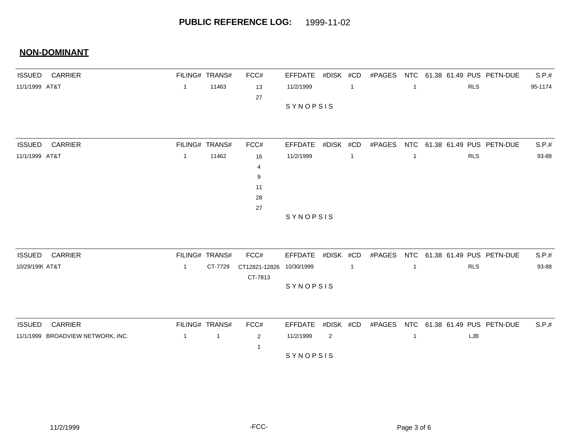| <b>ISSUED CARRIER</b>             |                | FILING# TRANS# | FCC#                |                   |           |                |        |              |            | EFFDATE #DISK #CD #PAGES NTC 61.38 61.49 PUS PETN-DUE | S.P.#   |
|-----------------------------------|----------------|----------------|---------------------|-------------------|-----------|----------------|--------|--------------|------------|-------------------------------------------------------|---------|
| 11/1/1999 AT&T                    | $\overline{1}$ | 11463          | 13                  | 11/2/1999         |           | $\overline{1}$ |        | $\mathbf{1}$ | <b>RLS</b> |                                                       | 95-1174 |
|                                   |                |                | 27                  |                   |           |                |        |              |            |                                                       |         |
|                                   |                |                |                     | SYNOPSIS          |           |                |        |              |            |                                                       |         |
|                                   |                |                |                     |                   |           |                |        |              |            |                                                       |         |
|                                   |                |                |                     |                   |           |                |        |              |            |                                                       |         |
| <b>ISSUED</b><br><b>CARRIER</b>   |                | FILING# TRANS# | FCC#                | EFFDATE           | #DISK #CD |                | #PAGES | <b>NTC</b>   |            | 61.38 61.49 PUS PETN-DUE                              | S.P.#   |
| 11/1/1999 AT&T                    | $\mathbf{1}$   | 11462          | 16                  | 11/2/1999         |           | $\overline{1}$ |        | $\mathbf{1}$ | <b>RLS</b> |                                                       | 93-88   |
|                                   |                |                | 4                   |                   |           |                |        |              |            |                                                       |         |
|                                   |                |                | 9                   |                   |           |                |        |              |            |                                                       |         |
|                                   |                |                | 11                  |                   |           |                |        |              |            |                                                       |         |
|                                   |                |                | 28                  |                   |           |                |        |              |            |                                                       |         |
|                                   |                |                | 27                  |                   |           |                |        |              |            |                                                       |         |
|                                   |                |                |                     | SYNOPSIS          |           |                |        |              |            |                                                       |         |
|                                   |                |                |                     |                   |           |                |        |              |            |                                                       |         |
|                                   |                |                |                     |                   |           |                |        |              |            |                                                       |         |
| <b>ISSUED</b><br><b>CARRIER</b>   |                | FILING# TRANS# | FCC#                | EFFDATE #DISK #CD |           |                | #PAGES |              |            | NTC 61.38 61.49 PUS PETN-DUE                          | S.P.#   |
| 10/29/1999 AT&T                   | $\overline{1}$ | CT-7729        | CT12821-12826       | 10/30/1999        |           | $\overline{1}$ |        | $\mathbf{1}$ | <b>RLS</b> |                                                       | 93-88   |
|                                   |                |                | CT-7813             |                   |           |                |        |              |            |                                                       |         |
|                                   |                |                |                     | SYNOPSIS          |           |                |        |              |            |                                                       |         |
|                                   |                |                |                     |                   |           |                |        |              |            |                                                       |         |
| <b>CARRIER</b><br><b>ISSUED</b>   |                | FILING# TRANS# | FCC#                | <b>EFFDATE</b>    | #DISK #CD |                | #PAGES |              |            | NTC 61.38 61.49 PUS PETN-DUE                          | S.P.#   |
|                                   | $\overline{1}$ |                |                     |                   |           |                |        |              |            |                                                       |         |
| 11/1/1999 BROADVIEW NETWORK, INC. |                | $\mathbf{1}$   | $\overline{2}$<br>1 | 11/2/1999         | 2         |                |        | $\mathbf{1}$ | LJB        |                                                       |         |
|                                   |                |                |                     | SYNOPSIS          |           |                |        |              |            |                                                       |         |
|                                   |                |                |                     |                   |           |                |        |              |            |                                                       |         |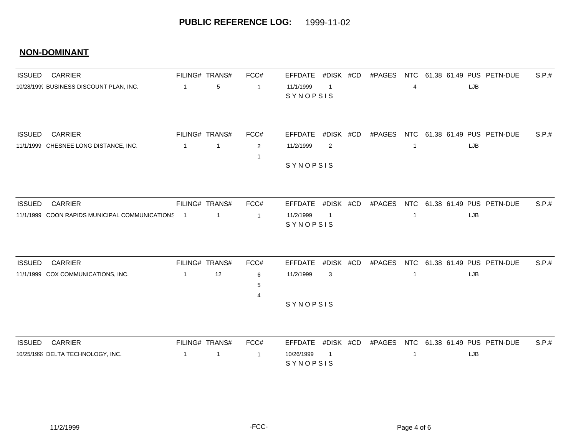| <b>ISSUED</b> | <b>CARRIER</b>                                 |                | FILING# TRANS# | FCC#           | <b>EFFDATE</b>         | #DISK #CD      | #PAGES | <b>NTC</b>   |     | 61.38 61.49 PUS PETN-DUE     | S.P.# |
|---------------|------------------------------------------------|----------------|----------------|----------------|------------------------|----------------|--------|--------------|-----|------------------------------|-------|
|               | 10/28/1999 BUSINESS DISCOUNT PLAN, INC.        | $\overline{1}$ | 5              | $\mathbf{1}$   | 11/1/1999<br>SYNOPSIS  | $\mathbf{1}$   |        | 4            | LJB |                              |       |
| <b>ISSUED</b> | <b>CARRIER</b>                                 |                | FILING# TRANS# | FCC#           | <b>EFFDATE</b>         | #DISK #CD      | #PAGES |              |     | NTC 61.38 61.49 PUS PETN-DUE | S.P.# |
|               | 11/1/1999 CHESNEE LONG DISTANCE, INC.          | -1             | $\mathbf{1}$   | 2              | 11/2/1999              | 2              |        | 1            | LJB |                              |       |
|               |                                                |                |                | -1             |                        |                |        |              |     |                              |       |
|               |                                                |                |                |                | SYNOPSIS               |                |        |              |     |                              |       |
|               |                                                |                |                |                |                        |                |        |              |     |                              |       |
| <b>ISSUED</b> | <b>CARRIER</b>                                 |                | FILING# TRANS# | FCC#           | <b>EFFDATE</b>         | #DISK #CD      | #PAGES | <b>NTC</b>   |     | 61.38 61.49 PUS PETN-DUE     | S.P.# |
|               | 11/1/1999 COON RAPIDS MUNICIPAL COMMUNICATIONS | - 1            | 1              | $\overline{1}$ | 11/2/1999<br>SYNOPSIS  | $\overline{1}$ |        | $\mathbf{1}$ | LJB |                              |       |
|               |                                                |                |                |                |                        |                |        |              |     |                              |       |
| <b>ISSUED</b> | <b>CARRIER</b>                                 |                | FILING# TRANS# | FCC#           | <b>EFFDATE</b>         | #DISK #CD      | #PAGES |              |     | NTC 61.38 61.49 PUS PETN-DUE | S.P.# |
|               | 11/1/1999 COX COMMUNICATIONS, INC.             | -1             | 12             | 6<br>5         | 11/2/1999              | 3              |        | 1            | LJB |                              |       |
|               |                                                |                |                |                |                        |                |        |              |     |                              |       |
|               |                                                |                |                |                | SYNOPSIS               |                |        |              |     |                              |       |
|               |                                                |                |                |                |                        |                |        |              |     |                              |       |
| <b>ISSUED</b> | <b>CARRIER</b>                                 |                | FILING# TRANS# | FCC#           | <b>EFFDATE</b>         | #DISK #CD      | #PAGES | <b>NTC</b>   |     | 61.38 61.49 PUS PETN-DUE     | S.P.# |
|               | 10/25/1999 DELTA TECHNOLOGY, INC.              | $\overline{1}$ | $\mathbf 1$    | $\overline{1}$ | 10/26/1999<br>SYNOPSIS | $\mathbf{1}$   |        | -1           | LJB |                              |       |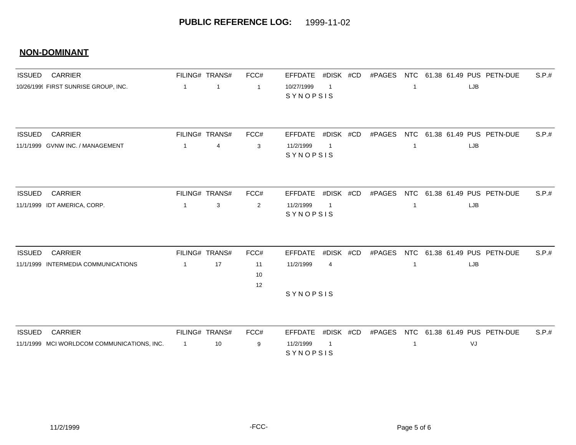| <b>ISSUED</b> | <b>CARRIER</b>                              |                | FILING# TRANS# | FCC#           | #DISK #CD<br><b>EFFDATE</b>              |        |              | #PAGES NTC 61.38 61.49 PUS PETN-DUE |            | S.P.# |
|---------------|---------------------------------------------|----------------|----------------|----------------|------------------------------------------|--------|--------------|-------------------------------------|------------|-------|
|               | 10/26/1999 FIRST SUNRISE GROUP, INC.        | $\mathbf{1}$   | $\overline{1}$ | $\overline{1}$ | 10/27/1999<br>$\overline{1}$<br>SYNOPSIS |        | $\mathbf{1}$ |                                     | LJB        |       |
| <b>ISSUED</b> | <b>CARRIER</b>                              |                | FILING# TRANS# | FCC#           | #DISK #CD<br><b>EFFDATE</b>              | #PAGES |              | NTC 61.38 61.49 PUS PETN-DUE        |            | S.P.# |
|               | 11/1/1999 GVNW INC. / MANAGEMENT            | $\mathbf{1}$   | 4              | 3              | 11/2/1999<br>$\overline{1}$<br>SYNOPSIS  |        | $\mathbf{1}$ |                                     | LJB        |       |
| <b>ISSUED</b> | <b>CARRIER</b>                              |                | FILING# TRANS# | FCC#           | EFFDATE #DISK #CD                        |        |              | #PAGES NTC 61.38 61.49 PUS PETN-DUE |            | S.P.# |
|               | 11/1/1999 IDT AMERICA, CORP.                | $\overline{1}$ | 3              | 2              | 11/2/1999<br>$\overline{1}$<br>SYNOPSIS  |        | $\mathbf{1}$ |                                     | <b>LJB</b> |       |
| <b>ISSUED</b> | <b>CARRIER</b>                              |                | FILING# TRANS# | FCC#           | <b>EFFDATE</b><br>#DISK #CD              | #PAGES |              | NTC 61.38 61.49 PUS PETN-DUE        |            | S.P.# |
|               | 11/1/1999 INTERMEDIA COMMUNICATIONS         | $\mathbf{1}$   | 17             | 11<br>10<br>12 | 11/2/1999<br>$\overline{4}$              |        | $\mathbf{1}$ |                                     | LJB        |       |
|               |                                             |                |                |                | SYNOPSIS                                 |        |              |                                     |            |       |
| <b>ISSUED</b> | <b>CARRIER</b>                              |                | FILING# TRANS# | FCC#           | #DISK #CD<br><b>EFFDATE</b>              | #PAGES |              | NTC 61.38 61.49 PUS PETN-DUE        |            | S.P.# |
|               | 11/1/1999 MCI WORLDCOM COMMUNICATIONS, INC. | $\overline{1}$ | 10             | 9              | 11/2/1999<br>$\overline{1}$<br>SYNOPSIS  |        | $\mathbf{1}$ |                                     | VJ         |       |